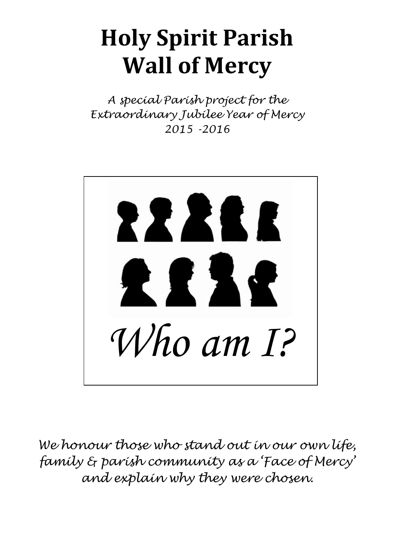# **Holy Spirit Parish Wall of Mercy**

*A special Parish project for the Extraordinary Jubilee Year of Mercy 2015 -2016*



*We honour those who stand out in our own life, family & parish community as a 'Face of Mercy' and explain why they were chosen.*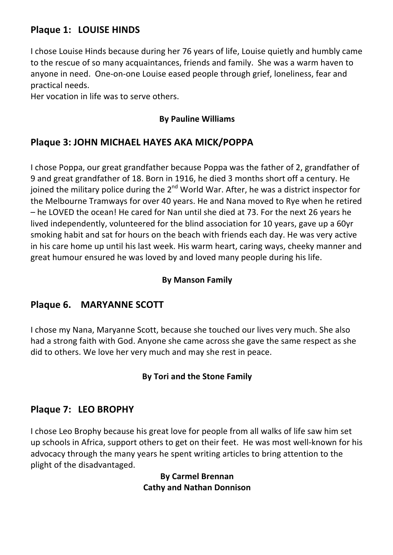# **Plaque 1: LOUISE HINDS**

I chose Louise Hinds because during her 76 years of life, Louise quietly and humbly came to the rescue of so many acquaintances, friends and family. She was a warm haven to anyone in need. One-on-one Louise eased people through grief, loneliness, fear and practical needs.

Her vocation in life was to serve others.

## **By Pauline Williams**

# Plaque 3: JOHN MICHAEL HAYES AKA MICK/POPPA

I chose Poppa, our great grandfather because Poppa was the father of 2, grandfather of 9 and great grandfather of 18. Born in 1916, he died 3 months short off a century. He joined the military police during the  $2^{nd}$  World War. After, he was a district inspector for the Melbourne Tramways for over 40 years. He and Nana moved to Rye when he retired  $-$  he LOVED the ocean! He cared for Nan until she died at 73. For the next 26 years he lived independently, volunteered for the blind association for 10 years, gave up a 60yr smoking habit and sat for hours on the beach with friends each day. He was very active in his care home up until his last week. His warm heart, caring ways, cheeky manner and great humour ensured he was loved by and loved many people during his life.

#### **By Manson Family**

# **Plaque 6. MARYANNE SCOTT**

I chose my Nana, Maryanne Scott, because she touched our lives very much. She also had a strong faith with God. Anyone she came across she gave the same respect as she did to others. We love her very much and may she rest in peace.

## **By Tori and the Stone Family**

# **Plaque 7: LEO BROPHY**

I chose Leo Brophy because his great love for people from all walks of life saw him set up schools in Africa, support others to get on their feet. He was most well-known for his advocacy through the many years he spent writing articles to bring attention to the plight of the disadvantaged.

#### **By Carmel Brennan Cathy and Nathan Donnison**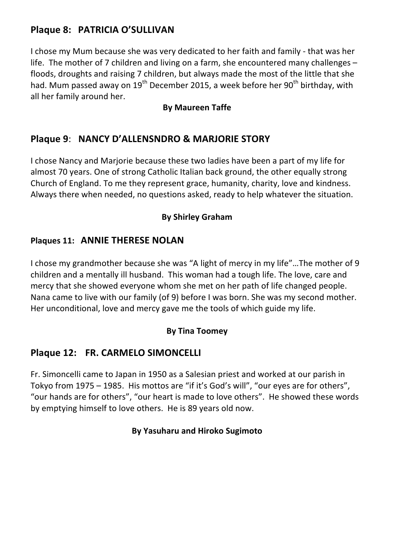# **Plaque 8: PATRICIA O'SULLIVAN**

I chose my Mum because she was very dedicated to her faith and family - that was her life. The mother of 7 children and living on a farm, she encountered many challenges  $$ floods, droughts and raising 7 children, but always made the most of the little that she had. Mum passed away on  $19^{th}$  December 2015, a week before her  $90^{th}$  birthday, with all her family around her.

#### **By Maureen Taffe**

# **Plaque 9**: **NANCY D'ALLENSNDRO & MARJORIE STORY**

I chose Nancy and Marjorie because these two ladies have been a part of my life for almost 70 years. One of strong Catholic Italian back ground, the other equally strong Church of England. To me they represent grace, humanity, charity, love and kindness. Always there when needed, no questions asked, ready to help whatever the situation.

## **By Shirley Graham**

## **Plaques 11: ANNIE THERESE NOLAN**

I chose my grandmother because she was "A light of mercy in my life"...The mother of 9 children and a mentally ill husband. This woman had a tough life. The love, care and mercy that she showed everyone whom she met on her path of life changed people. Nana came to live with our family (of 9) before I was born. She was my second mother. Her unconditional, love and mercy gave me the tools of which guide my life.

#### **By Tina Toomey**

# **Plaque 12: FR. CARMELO SIMONCELLI**

Fr. Simoncelli came to Japan in 1950 as a Salesian priest and worked at our parish in Tokyo from 1975 - 1985. His mottos are "if it's God's will", "our eyes are for others", "our hands are for others", "our heart is made to love others". He showed these words by emptying himself to love others. He is 89 years old now.

## **By Yasuharu and Hiroko Sugimoto**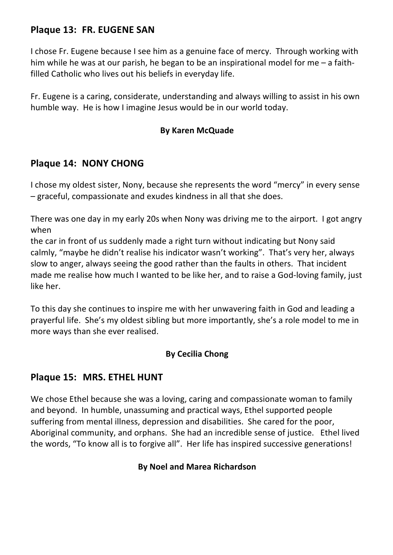# **Plaque 13: FR. EUGENE SAN**

I chose Fr. Eugene because I see him as a genuine face of mercy. Through working with him while he was at our parish, he began to be an inspirational model for me  $-$  a faithfilled Catholic who lives out his beliefs in everyday life.

Fr. Eugene is a caring, considerate, understanding and always willing to assist in his own humble way. He is how I imagine Jesus would be in our world today.

#### **By Karen McQuade**

# **Plaque 14: NONY CHONG**

I chose my oldest sister, Nony, because she represents the word "mercy" in every sense  $-$  graceful, compassionate and exudes kindness in all that she does.

There was one day in my early 20s when Nony was driving me to the airport. I got angry when 

the car in front of us suddenly made a right turn without indicating but Nony said calmly, "maybe he didn't realise his indicator wasn't working". That's very her, always slow to anger, always seeing the good rather than the faults in others. That incident made me realise how much I wanted to be like her, and to raise a God-loving family, just like her.

To this day she continues to inspire me with her unwavering faith in God and leading a prayerful life. She's my oldest sibling but more importantly, she's a role model to me in more ways than she ever realised.

## **By Cecilia Chong**

# **Plaque 15: MRS. ETHEL HUNT**

We chose Ethel because she was a loving, caring and compassionate woman to family and beyond. In humble, unassuming and practical ways, Ethel supported people suffering from mental illness, depression and disabilities. She cared for the poor, Aboriginal community, and orphans. She had an incredible sense of justice. Ethel lived the words, "To know all is to forgive all". Her life has inspired successive generations!

## **By Noel and Marea Richardson**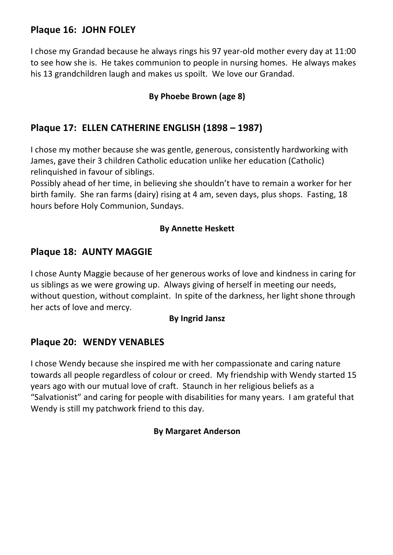# **Plaque 16: JOHN FOLEY**

I chose my Grandad because he always rings his 97 year-old mother every day at 11:00 to see how she is. He takes communion to people in nursing homes. He always makes his 13 grandchildren laugh and makes us spoilt. We love our Grandad.

# By Phoebe Brown (age 8)

# **Plaque 17: ELLEN CATHERINE ENGLISH (1898 – 1987)**

I chose my mother because she was gentle, generous, consistently hardworking with James, gave their 3 children Catholic education unlike her education (Catholic) relinquished in favour of siblings.

Possibly ahead of her time, in believing she shouldn't have to remain a worker for her birth family. She ran farms (dairy) rising at 4 am, seven days, plus shops. Fasting, 18 hours before Holy Communion, Sundays.

#### **By Annette Heskett**

# **Plaque 18: AUNTY MAGGIE**

I chose Aunty Maggie because of her generous works of love and kindness in caring for us siblings as we were growing up. Always giving of herself in meeting our needs, without question, without complaint. In spite of the darkness, her light shone through her acts of love and mercy.

#### **By Ingrid Jansz**

## **Plaque 20: WENDY VENABLES**

I chose Wendy because she inspired me with her compassionate and caring nature towards all people regardless of colour or creed. My friendship with Wendy started 15 years ago with our mutual love of craft. Staunch in her religious beliefs as a "Salvationist" and caring for people with disabilities for many years. I am grateful that Wendy is still my patchwork friend to this day.

#### **By Margaret Anderson**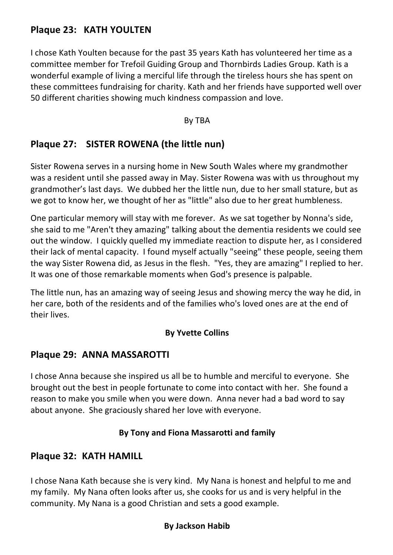# **Plaque 23: KATH YOULTEN**

I chose Kath Youlten because for the past 35 years Kath has volunteered her time as a committee member for Trefoil Guiding Group and Thornbirds Ladies Group. Kath is a wonderful example of living a merciful life through the tireless hours she has spent on these committees fundraising for charity. Kath and her friends have supported well over 50 different charities showing much kindness compassion and love.

#### By TBA

# **Plaque 27: SISTER ROWENA (the little nun)**

Sister Rowena serves in a nursing home in New South Wales where my grandmother was a resident until she passed away in May. Sister Rowena was with us throughout my grandmother's last days. We dubbed her the little nun, due to her small stature, but as we got to know her, we thought of her as "little" also due to her great humbleness.

One particular memory will stay with me forever. As we sat together by Nonna's side, she said to me "Aren't they amazing" talking about the dementia residents we could see out the window. I quickly quelled my immediate reaction to dispute her, as I considered their lack of mental capacity. I found myself actually "seeing" these people, seeing them the way Sister Rowena did, as Jesus in the flesh. "Yes, they are amazing" I replied to her. It was one of those remarkable moments when God's presence is palpable.

The little nun, has an amazing way of seeing Jesus and showing mercy the way he did, in her care, both of the residents and of the families who's loved ones are at the end of their lives.

#### **By Yvette Collins**

## **Plaque 29: ANNA MASSAROTTI**

I chose Anna because she inspired us all be to humble and merciful to everyone. She brought out the best in people fortunate to come into contact with her. She found a reason to make you smile when you were down. Anna never had a bad word to say about anyone. She graciously shared her love with everyone.

## **By Tony and Fiona Massarotti and family**

## **Plaque 32: KATH HAMILL**

I chose Nana Kath because she is very kind. My Nana is honest and helpful to me and my family. My Nana often looks after us, she cooks for us and is very helpful in the community. My Nana is a good Christian and sets a good example.

#### **By Jackson Habib**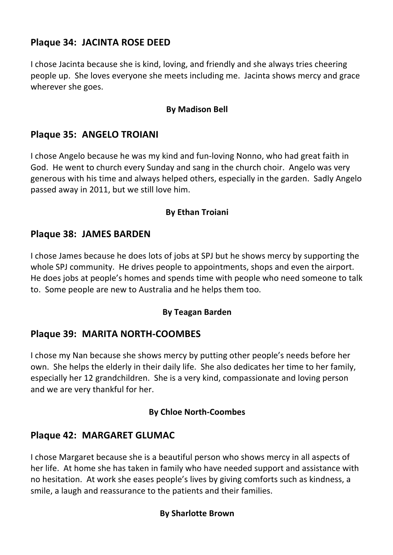# **Plaque 34: JACINTA ROSE DEED**

I chose Jacinta because she is kind, loving, and friendly and she always tries cheering people up. She loves everyone she meets including me. Jacinta shows mercy and grace wherever she goes.

#### **By Madison Bell**

## **Plaque 35: ANGELO TROIANI**

I chose Angelo because he was my kind and fun-loving Nonno, who had great faith in God. He went to church every Sunday and sang in the church choir. Angelo was very generous with his time and always helped others, especially in the garden. Sadly Angelo passed away in 2011, but we still love him.

#### **By Ethan Troiani**

## **Plaque 38: JAMES BARDEN**

I chose James because he does lots of jobs at SPJ but he shows mercy by supporting the whole SPJ community. He drives people to appointments, shops and even the airport. He does jobs at people's homes and spends time with people who need someone to talk to. Some people are new to Australia and he helps them too.

## **By Teagan Barden**

## **Plaque 39: MARITA NORTH-COOMBES**

I chose my Nan because she shows mercy by putting other people's needs before her own. She helps the elderly in their daily life. She also dedicates her time to her family, especially her 12 grandchildren. She is a very kind, compassionate and loving person and we are very thankful for her.

#### **By Chloe North-Coombes**

# **Plaque 42: MARGARET GLUMAC**

I chose Margaret because she is a beautiful person who shows mercy in all aspects of her life. At home she has taken in family who have needed support and assistance with no hesitation. At work she eases people's lives by giving comforts such as kindness, a smile, a laugh and reassurance to the patients and their families.

## **By Sharlotte Brown**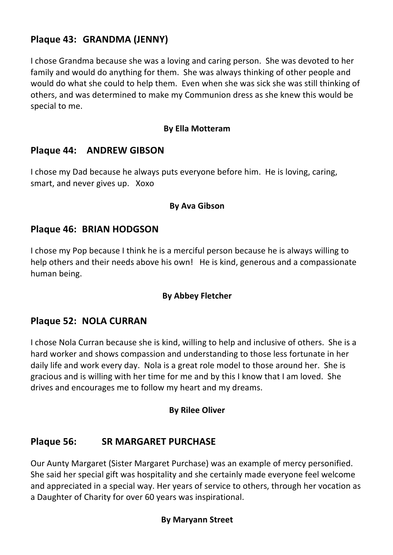# **Plaque 43: GRANDMA (JENNY)**

I chose Grandma because she was a loving and caring person. She was devoted to her family and would do anything for them. She was always thinking of other people and would do what she could to help them. Even when she was sick she was still thinking of others, and was determined to make my Communion dress as she knew this would be special to me.

#### **By Ella Motteram**

## **Plaque 44: ANDREW GIBSON**

I chose my Dad because he always puts everyone before him. He is loving, caring, smart, and never gives up. Xoxo

#### **By Ava Gibson**

## **Plaque 46: BRIAN HODGSON**

I chose my Pop because I think he is a merciful person because he is always willing to help others and their needs above his own! He is kind, generous and a compassionate human being.

## **By Abbey Fletcher**

## **Plaque 52: NOLA CURRAN**

I chose Nola Curran because she is kind, willing to help and inclusive of others. She is a hard worker and shows compassion and understanding to those less fortunate in her daily life and work every day. Nola is a great role model to those around her. She is gracious and is willing with her time for me and by this I know that I am loved. She drives and encourages me to follow my heart and my dreams.

#### **By Rilee Oliver**

# **Plaque 56: SR MARGARET PURCHASE**

Our Aunty Margaret (Sister Margaret Purchase) was an example of mercy personified. She said her special gift was hospitality and she certainly made everyone feel welcome and appreciated in a special way. Her years of service to others, through her vocation as a Daughter of Charity for over 60 years was inspirational.

#### **By Maryann Street**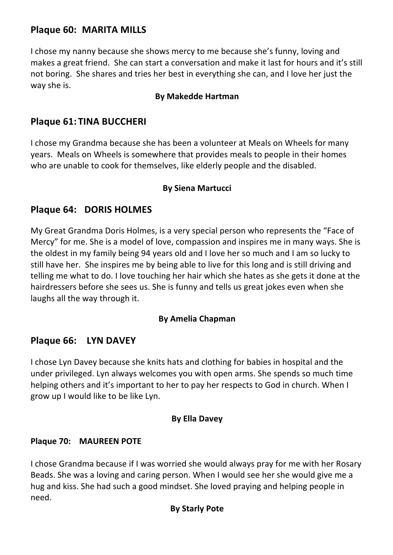# **Plaque 60: MARITA MILLS**

I chose my nanny because she shows mercy to me because she's funny, loving and makes a great friend. She can start a conversation and make it last for hours and it's still not boring. She shares and tries her best in everything she can, and I love her just the way she is.

#### **By Makedde Hartman**

# **Plaque 61: TINA BUCCHERI**

I chose my Grandma because she has been a volunteer at Meals on Wheels for many years. Meals on Wheels is somewhere that provides meals to people in their homes who are unable to cook for themselves, like elderly people and the disabled.

#### **By Siena Martucci**

# **Plaque 64: DORIS HOLMES**

My Great Grandma Doris Holmes, is a very special person who represents the "Face of Mercy" for me. She is a model of love, compassion and inspires me in many ways. She is the oldest in my family being 94 years old and I love her so much and I am so lucky to still have her. She inspires me by being able to live for this long and is still driving and telling me what to do. I love touching her hair which she hates as she gets it done at the hairdressers before she sees us. She is funny and tells us great jokes even when she laughs all the way through it.

#### **By Amelia Chapman**

## **Plaque 66: LYN DAVEY**

I chose Lyn Davey because she knits hats and clothing for babies in hospital and the under privileged. Lyn always welcomes you with open arms. She spends so much time helping others and it's important to her to pay her respects to God in church. When I grow up I would like to be like Lyn.

#### **By Ella Davey**

#### **Plaque 70: MAUREEN POTE**

I chose Grandma because if I was worried she would always pray for me with her Rosary Beads. She was a loving and caring person. When I would see her she would give me a hug and kiss. She had such a good mindset. She loved praying and helping people in need.

#### **By Starly Pote**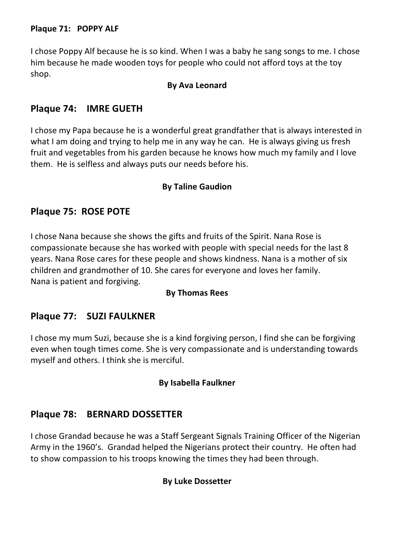#### **Plaque 71: POPPY ALF**

I chose Poppy Alf because he is so kind. When I was a baby he sang songs to me. I chose him because he made wooden toys for people who could not afford toys at the toy shop.

#### **By Ava Leonard**

## **Plaque 74: IMRE GUETH**

I chose my Papa because he is a wonderful great grandfather that is always interested in what I am doing and trying to help me in any way he can. He is always giving us fresh fruit and vegetables from his garden because he knows how much my family and I love them. He is selfless and always puts our needs before his.

#### **By Taline Gaudion**

## **Plaque 75: ROSE POTE**

I chose Nana because she shows the gifts and fruits of the Spirit. Nana Rose is compassionate because she has worked with people with special needs for the last 8 years. Nana Rose cares for these people and shows kindness. Nana is a mother of six children and grandmother of 10. She cares for everyone and loves her family. Nana is patient and forgiving.

#### **By Thomas Rees**

## **Plaque 77: SUZI FAULKNER**

I chose my mum Suzi, because she is a kind forgiving person, I find she can be forgiving even when tough times come. She is very compassionate and is understanding towards myself and others. I think she is merciful.

#### **By Isabella Faulkner**

## **Plaque 78: BERNARD DOSSETTER**

I chose Grandad because he was a Staff Sergeant Signals Training Officer of the Nigerian Army in the 1960's. Grandad helped the Nigerians protect their country. He often had to show compassion to his troops knowing the times they had been through.

#### **By Luke Dossetter**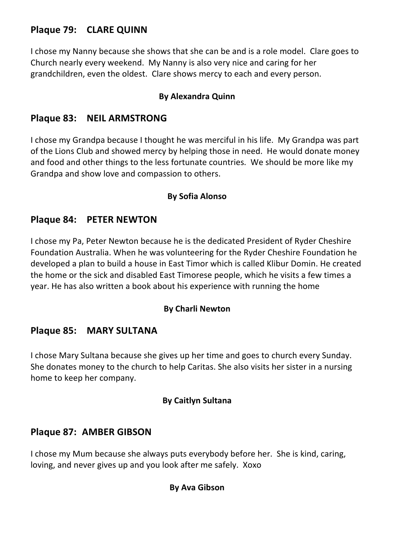# **Plaque 79: CLARE QUINN**

I chose my Nanny because she shows that she can be and is a role model. Clare goes to Church nearly every weekend. My Nanny is also very nice and caring for her grandchildren, even the oldest. Clare shows mercy to each and every person.

#### **By Alexandra Quinn**

## **Plaque 83: NEIL ARMSTRONG**

I chose my Grandpa because I thought he was merciful in his life. My Grandpa was part of the Lions Club and showed mercy by helping those in need. He would donate money and food and other things to the less fortunate countries. We should be more like my Grandpa and show love and compassion to others.

#### **By Sofia Alonso**

## **Plaque 84: PETER NEWTON**

I chose my Pa, Peter Newton because he is the dedicated President of Ryder Cheshire Foundation Australia. When he was volunteering for the Ryder Cheshire Foundation he developed a plan to build a house in East Timor which is called Klibur Domin. He created the home or the sick and disabled East Timorese people, which he visits a few times a year. He has also written a book about his experience with running the home

#### **By Charli Newton**

# **Plaque 85: MARY SULTANA**

I chose Mary Sultana because she gives up her time and goes to church every Sunday. She donates money to the church to help Caritas. She also visits her sister in a nursing home to keep her company.

#### **By Caitlyn Sultana**

## **Plaque 87: AMBER GIBSON**

I chose my Mum because she always puts everybody before her. She is kind, caring, loving, and never gives up and you look after me safely. Xoxo

#### **By Ava Gibson**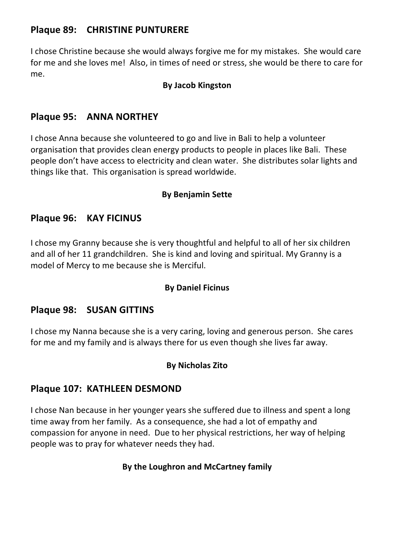# **Plaque 89: CHRISTINE PUNTURERE**

I chose Christine because she would always forgive me for my mistakes. She would care for me and she loves me! Also, in times of need or stress, she would be there to care for me.

#### **By Jacob Kingston**

# **Plaque 95: ANNA NORTHEY**

I chose Anna because she volunteered to go and live in Bali to help a volunteer organisation that provides clean energy products to people in places like Bali. These people don't have access to electricity and clean water. She distributes solar lights and things like that. This organisation is spread worldwide.

#### **By Benjamin Sette**

## **Plaque 96: KAY FICINUS**

I chose my Granny because she is very thoughtful and helpful to all of her six children and all of her 11 grandchildren. She is kind and loving and spiritual. My Granny is a model of Mercy to me because she is Merciful.

#### **By Daniel Ficinus**

## **Plaque 98: SUSAN GITTINS**

I chose my Nanna because she is a very caring, loving and generous person. She cares for me and my family and is always there for us even though she lives far away.

## **By Nicholas Zito**

## **Plaque 107: KATHLEEN DESMOND**

I chose Nan because in her younger years she suffered due to illness and spent a long time away from her family. As a consequence, she had a lot of empathy and compassion for anyone in need. Due to her physical restrictions, her way of helping people was to pray for whatever needs they had.

#### **By the Loughron and McCartney family**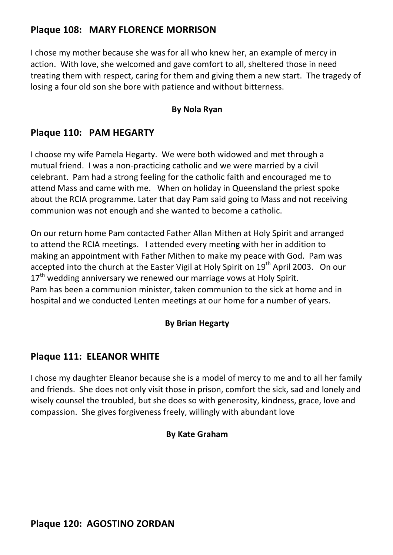# **Plaque 108: MARY FLORENCE MORRISON**

I chose my mother because she was for all who knew her, an example of mercy in action. With love, she welcomed and gave comfort to all, sheltered those in need treating them with respect, caring for them and giving them a new start. The tragedy of losing a four old son she bore with patience and without bitterness.

#### **By Nola Ryan**

## **Plaque 110: PAM HEGARTY**

I choose my wife Pamela Hegarty. We were both widowed and met through a mutual friend. I was a non-practicing catholic and we were married by a civil celebrant. Pam had a strong feeling for the catholic faith and encouraged me to attend Mass and came with me. When on holiday in Queensland the priest spoke about the RCIA programme. Later that day Pam said going to Mass and not receiving communion was not enough and she wanted to become a catholic.

On our return home Pam contacted Father Allan Mithen at Holy Spirit and arranged to attend the RCIA meetings. I attended every meeting with her in addition to making an appointment with Father Mithen to make my peace with God. Pam was accepted into the church at the Easter Vigil at Holy Spirit on  $19<sup>th</sup>$  April 2003. On our  $17<sup>th</sup>$  wedding anniversary we renewed our marriage vows at Holy Spirit. Pam has been a communion minister, taken communion to the sick at home and in hospital and we conducted Lenten meetings at our home for a number of years.

## **By Brian Hegarty**

## **Plaque 111: ELEANOR WHITE**

I chose my daughter Eleanor because she is a model of mercy to me and to all her family and friends. She does not only visit those in prison, comfort the sick, sad and lonely and wisely counsel the troubled, but she does so with generosity, kindness, grace, love and compassion. She gives forgiveness freely, willingly with abundant love

#### **By Kate Graham**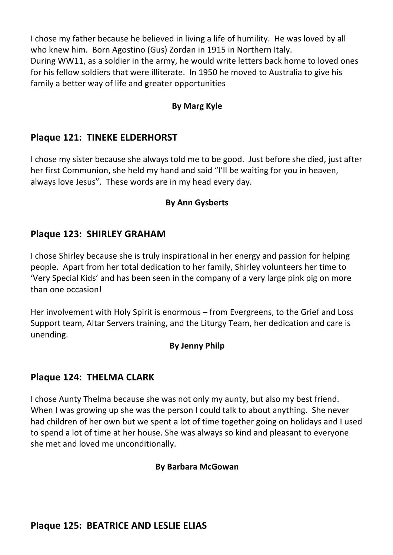I chose my father because he believed in living a life of humility. He was loved by all who knew him. Born Agostino (Gus) Zordan in 1915 in Northern Italy. During WW11, as a soldier in the army, he would write letters back home to loved ones for his fellow soldiers that were illiterate. In 1950 he moved to Australia to give his family a better way of life and greater opportunities

## **By Marg Kyle**

# **Plaque 121: TINEKE ELDERHORST**

I chose my sister because she always told me to be good. Just before she died, just after her first Communion, she held my hand and said "I'll be waiting for you in heaven, always love Jesus". These words are in my head every day.

## **By Ann Gysberts**

# **Plaque 123: SHIRLEY GRAHAM**

I chose Shirley because she is truly inspirational in her energy and passion for helping people. Apart from her total dedication to her family, Shirley volunteers her time to 'Very Special Kids' and has been seen in the company of a very large pink pig on more than one occasion!

Her involvement with Holy Spirit is enormous  $-$  from Evergreens, to the Grief and Loss Support team, Altar Servers training, and the Liturgy Team, her dedication and care is unending.

## **By Jenny Philp**

# **Plaque 124: THELMA CLARK**

I chose Aunty Thelma because she was not only my aunty, but also my best friend. When I was growing up she was the person I could talk to about anything. She never had children of her own but we spent a lot of time together going on holidays and I used to spend a lot of time at her house. She was always so kind and pleasant to everyone she met and loved me unconditionally.

#### **By Barbara McGowan**

# **Plaque 125: BEATRICE AND LESLIE ELIAS**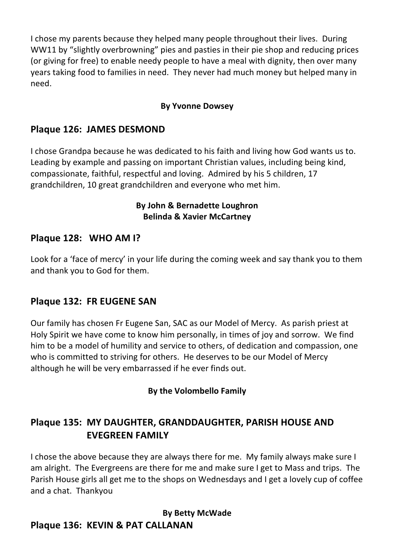I chose my parents because they helped many people throughout their lives. During WW11 by "slightly overbrowning" pies and pasties in their pie shop and reducing prices (or giving for free) to enable needy people to have a meal with dignity, then over many years taking food to families in need. They never had much money but helped many in need.

# **By Yvonne Dowsey**

# **Plaque 126: JAMES DESMOND**

I chose Grandpa because he was dedicated to his faith and living how God wants us to. Leading by example and passing on important Christian values, including being kind, compassionate, faithful, respectful and loving. Admired by his 5 children, 17 grandchildren, 10 great grandchildren and everyone who met him.

#### **By John & Bernadette Loughron Belinda & Xavier McCartney**

# **Plaque 128: WHO AM I?**

Look for a 'face of mercy' in your life during the coming week and say thank you to them and thank you to God for them.

# **Plaque 132: FR EUGENE SAN**

Our family has chosen Fr Eugene San, SAC as our Model of Mercy. As parish priest at Holy Spirit we have come to know him personally, in times of joy and sorrow. We find him to be a model of humility and service to others, of dedication and compassion, one who is committed to striving for others. He deserves to be our Model of Mercy although he will be very embarrassed if he ever finds out.

## **By the Volombello Family**

# **Plaque 135: MY DAUGHTER, GRANDDAUGHTER, PARISH HOUSE AND EVEGREEN FAMILY**

I chose the above because they are always there for me. My family always make sure I am alright. The Evergreens are there for me and make sure I get to Mass and trips. The Parish House girls all get me to the shops on Wednesdays and I get a lovely cup of coffee and a chat. Thankyou

**By Betty McWade Plaque 136: KEVIN & PAT CALLANAN**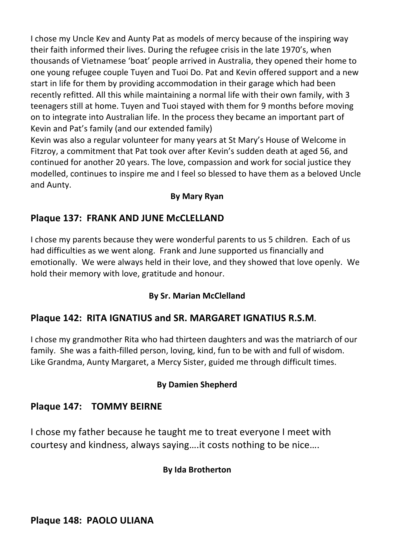I chose my Uncle Kev and Aunty Pat as models of mercy because of the inspiring way their faith informed their lives. During the refugee crisis in the late 1970's, when thousands of Vietnamese 'boat' people arrived in Australia, they opened their home to one young refugee couple Tuyen and Tuoi Do. Pat and Kevin offered support and a new start in life for them by providing accommodation in their garage which had been recently refitted. All this while maintaining a normal life with their own family, with 3 teenagers still at home. Tuyen and Tuoi stayed with them for 9 months before moving on to integrate into Australian life. In the process they became an important part of Kevin and Pat's family (and our extended family)

Kevin was also a regular volunteer for many years at St Mary's House of Welcome in Fitzroy, a commitment that Pat took over after Kevin's sudden death at aged 56, and continued for another 20 years. The love, compassion and work for social justice they modelled, continues to inspire me and I feel so blessed to have them as a beloved Uncle and Aunty.

## **By Mary Ryan**

# **Plaque 137: FRANK AND JUNE McCLELLAND**

I chose my parents because they were wonderful parents to us 5 children. Each of us had difficulties as we went along. Frank and June supported us financially and emotionally. We were always held in their love, and they showed that love openly. We hold their memory with love, gratitude and honour.

## **By Sr. Marian McClelland**

# **Plaque 142: RITA IGNATIUS and SR. MARGARET IGNATIUS R.S.M.**

I chose my grandmother Rita who had thirteen daughters and was the matriarch of our family. She was a faith-filled person, loving, kind, fun to be with and full of wisdom. Like Grandma, Aunty Margaret, a Mercy Sister, guided me through difficult times.

## **By Damien Shepherd**

# **Plaque 147: TOMMY BEIRNE**

I chose my father because he taught me to treat everyone I meet with courtesy and kindness, always saying....it costs nothing to be nice....

## **By Ida Brotherton**

**Plaque 148: PAOLO ULIANA**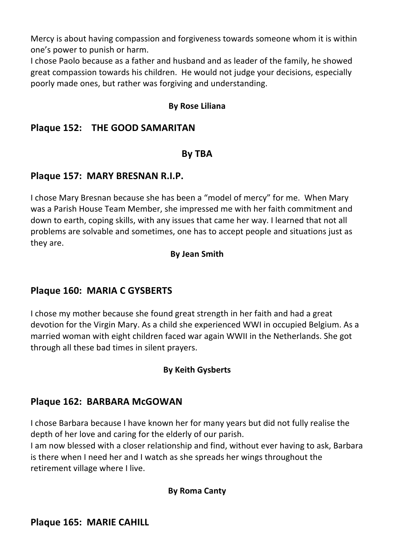Mercy is about having compassion and forgiveness towards someone whom it is within one's power to punish or harm.

I chose Paolo because as a father and husband and as leader of the family, he showed great compassion towards his children. He would not judge your decisions, especially poorly made ones, but rather was forgiving and understanding.

#### **By Rose Liliana**

## **Plaque 152: THE GOOD SAMARITAN**

#### **By TBA**

## **Plaque 157: MARY BRESNAN R.I.P.**

I chose Mary Bresnan because she has been a "model of mercy" for me. When Mary was a Parish House Team Member, she impressed me with her faith commitment and down to earth, coping skills, with any issues that came her way. I learned that not all problems are solvable and sometimes, one has to accept people and situations just as they are.

#### **By Jean Smith**

## **Plaque 160: MARIA C GYSBERTS**

I chose my mother because she found great strength in her faith and had a great devotion for the Virgin Mary. As a child she experienced WWI in occupied Belgium. As a married woman with eight children faced war again WWII in the Netherlands. She got through all these bad times in silent prayers.

#### **By Keith Gysberts**

## **Plaque 162: BARBARA McGOWAN**

I chose Barbara because I have known her for many years but did not fully realise the depth of her love and caring for the elderly of our parish.

I am now blessed with a closer relationship and find, without ever having to ask, Barbara is there when I need her and I watch as she spreads her wings throughout the retirement village where I live.

#### **By Roma Canty**

## **Plaque 165: MARIE CAHILL**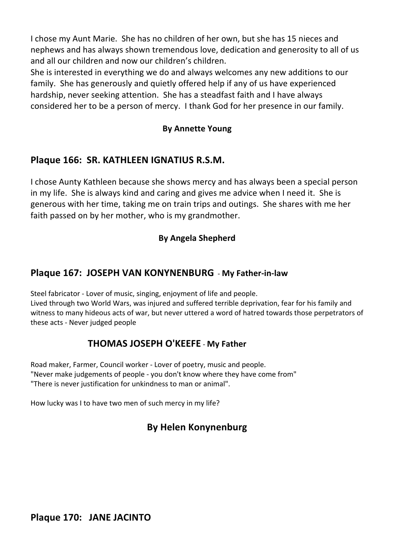I chose my Aunt Marie. She has no children of her own, but she has 15 nieces and nephews and has always shown tremendous love, dedication and generosity to all of us and all our children and now our children's children.

She is interested in everything we do and always welcomes any new additions to our family. She has generously and quietly offered help if any of us have experienced hardship, never seeking attention. She has a steadfast faith and I have always considered her to be a person of mercy. I thank God for her presence in our family.

#### **By Annette Young**

# Plaque 166: SR. KATHLEEN IGNATIUS R.S.M.

I chose Aunty Kathleen because she shows mercy and has always been a special person in my life. She is always kind and caring and gives me advice when I need it. She is generous with her time, taking me on train trips and outings. She shares with me her faith passed on by her mother, who is my grandmother.

#### **By Angela Shepherd**

## **Plaque 167: JOSEPH VAN KONYNENBURG** - My Father-in-law

Steel fabricator - Lover of music, singing, enjoyment of life and people. Lived through two World Wars, was injured and suffered terrible deprivation, fear for his family and witness to many hideous acts of war, but never uttered a word of hatred towards those perpetrators of these acts - Never judged people

# **THOMAS JOSEPH O'KEEFE - My Father**

Road maker, Farmer, Council worker - Lover of poetry, music and people. "Never make judgements of people - you don't know where they have come from" "There is never justification for unkindness to man or animal".

How lucky was I to have two men of such mercy in my life?

# **By Helen Konynenburg**

**Plaque 170: JANE JACINTO**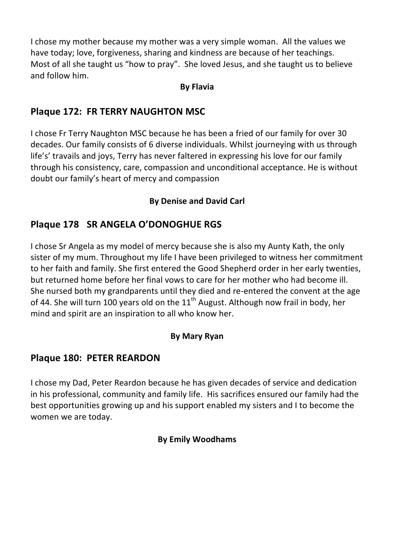I chose my mother because my mother was a very simple woman. All the values we have today; love, forgiveness, sharing and kindness are because of her teachings. Most of all she taught us "how to pray". She loved Jesus, and she taught us to believe and follow him.

#### **By Flavia**

# **Plaque 172: FR TERRY NAUGHTON MSC**

I chose Fr Terry Naughton MSC because he has been a fried of our family for over 30 decades. Our family consists of 6 diverse individuals. Whilst journeying with us through life's' travails and joys, Terry has never faltered in expressing his love for our family through his consistency, care, compassion and unconditional acceptance. He is without doubt our family's heart of mercy and compassion

# **By Denise and David Carl**

# **Plaque 178 SR ANGELA O'DONOGHUE RGS**

I chose Sr Angela as my model of mercy because she is also my Aunty Kath, the only sister of my mum. Throughout my life I have been privileged to witness her commitment to her faith and family. She first entered the Good Shepherd order in her early twenties, but returned home before her final vows to care for her mother who had become ill. She nursed both my grandparents until they died and re-entered the convent at the age of 44. She will turn 100 years old on the  $11<sup>th</sup>$  August. Although now frail in body, her mind and spirit are an inspiration to all who know her.

# **By Mary Ryan**

# **Plaque 180: PETER REARDON**

I chose my Dad, Peter Reardon because he has given decades of service and dedication in his professional, community and family life. His sacrifices ensured our family had the best opportunities growing up and his support enabled my sisters and I to become the women we are today.

## **By Emily Woodhams**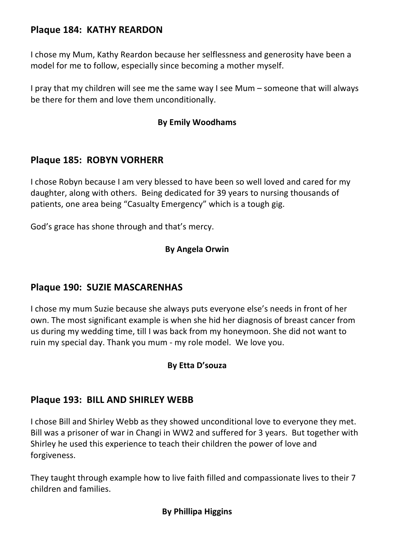# **Plaque 184: KATHY REARDON**

I chose my Mum, Kathy Reardon because her selflessness and generosity have been a model for me to follow, especially since becoming a mother myself.

I pray that my children will see me the same way I see Mum – someone that will always be there for them and love them unconditionally.

#### **By Emily Woodhams**

# **Plaque 185: ROBYN VORHERR**

I chose Robyn because I am very blessed to have been so well loved and cared for my daughter, along with others. Being dedicated for 39 years to nursing thousands of patients, one area being "Casualty Emergency" which is a tough gig.

God's grace has shone through and that's mercy.

#### **By Angela Orwin**

# **Plaque 190: SUZIE MASCARENHAS**

I chose my mum Suzie because she always puts everyone else's needs in front of her own. The most significant example is when she hid her diagnosis of breast cancer from us during my wedding time, till I was back from my honeymoon. She did not want to ruin my special day. Thank you mum - my role model. We love you.

#### **By Etta D'souza**

## **Plaque 193: BILL AND SHIRLEY WEBB**

I chose Bill and Shirley Webb as they showed unconditional love to everyone they met. Bill was a prisoner of war in Changi in WW2 and suffered for 3 years. But together with Shirley he used this experience to teach their children the power of love and forgiveness. 

They taught through example how to live faith filled and compassionate lives to their 7 children and families.

# **By Phillipa Higgins**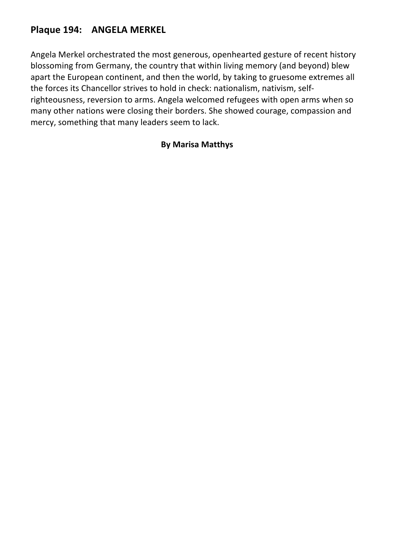# **Plaque 194: ANGELA MERKEL**

Angela Merkel orchestrated the most generous, openhearted gesture of recent history blossoming from Germany, the country that within living memory (and beyond) blew apart the European continent, and then the world, by taking to gruesome extremes all the forces its Chancellor strives to hold in check: nationalism, nativism, selfrighteousness, reversion to arms. Angela welcomed refugees with open arms when so many other nations were closing their borders. She showed courage, compassion and mercy, something that many leaders seem to lack.

#### **By Marisa Matthys**